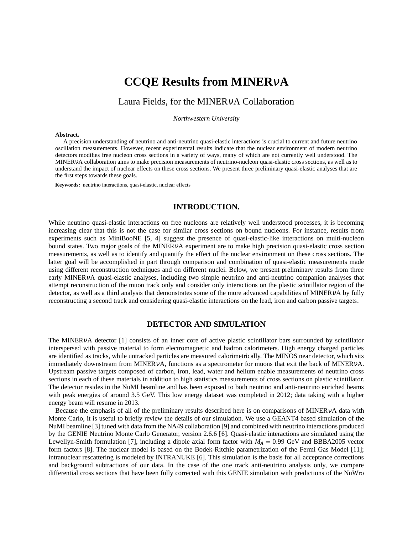# **CCQE Results from MINER**ν**A**

# Laura Fields, for the MINERνA Collaboration

*Northwestern University*

#### **Abstract.**

A precision understanding of neutrino and anti-neutrino quasi-elastic interactions is crucial to current and future neutrino oscillation measurements. However, recent experimental results indicate that the nuclear environment of modern neutrino detectors modifies free nucleon cross sections in a variety of ways, many of which are not currently well understood. The MINERνA collaboration aims to make precision measurements of neutrino-nucleon quasi-elastic cross sections, as well as to understand the impact of nuclear effects on these cross sections. We present three preliminary quasi-elastic analyses that are the first steps towards these goals.

**Keywords:** neutrino interactions, quasi-elastic, nuclear effects

#### **INTRODUCTION.**

While neutrino quasi-elastic interactions on free nucleons are relatively well understood processes, it is becoming increasing clear that this is not the case for similar cross sections on bound nucleons. For instance, results from experiments such as MiniBooNE [5, 4] suggest the presence of quasi-elastic-like interactions on multi-nucleon bound states. Two major goals of the MINERνA experiment are to make high precision quasi-elastic cross section measurements, as well as to identify and quantify the effect of the nuclear environment on these cross sections. The latter goal will be accomplished in part through comparison and combination of quasi-elastic measurements made using different reconstruction techniques and on different nuclei. Below, we present preliminary results from three early MINERνA quasi-elastic analyses, including two simple neutrino and anti-neutrino companion analyses that attempt reconstruction of the muon track only and consider only interactions on the plastic scintillator region of the detector, as well as a third analysis that demonstrates some of the more advanced capabilities of MINERVA by fully reconstructing a second track and considering quasi-elastic interactions on the lead, iron and carbon passive targets.

#### **DETECTOR AND SIMULATION**

The MINERνA detector [1] consists of an inner core of active plastic scintillator bars surrounded by scintillator interspersed with passive material to form electromagnetic and hadron calorimeters. High energy charged particles are identified as tracks, while untracked particles are measured calorimetrically. The MINOS near detector, which sits immediately downstream from MINERνA, functions as a spectrometer for muons that exit the back of MINERνA. Upstream passive targets composed of carbon, iron, lead, water and helium enable measurements of neutrino cross sections in each of these materials in addition to high statistics measurements of cross sections on plastic scintillator. The detector resides in the NuMI beamline and has been exposed to both neutrino and anti-neutrino enriched beams with peak energies of around 3.5 GeV. This low energy dataset was completed in 2012; data taking with a higher energy beam will resume in 2013.

Because the emphasis of all of the preliminary results described here is on comparisons of MINERVA data with Monte Carlo, it is useful to briefly review the details of our simulation. We use a GEANT4 based simulation of the NuMI beamline [3] tuned with data from the NA49 collaboration [9] and combined with neutrino interactions produced by the GENIE Neutrino Monte Carlo Generator, version 2.6.6 [6]. Quasi-elastic interactions are simulated using the Lewellyn-Smith formulation [7], including a dipole axial form factor with  $M_A = 0.99$  GeV and BBBA2005 vector form factors [8]. The nuclear model is based on the Bodek-Ritchie parametrization of the Fermi Gas Model [11]; intranuclear rescattering is modeled by INTRANUKE [6]. This simulation is the basis for all acceptance corrections and background subtractions of our data. In the case of the one track anti-neutrino analysis only, we compare differential cross sections that have been fully corrected with this GENIE simulation with predictions of the NuWro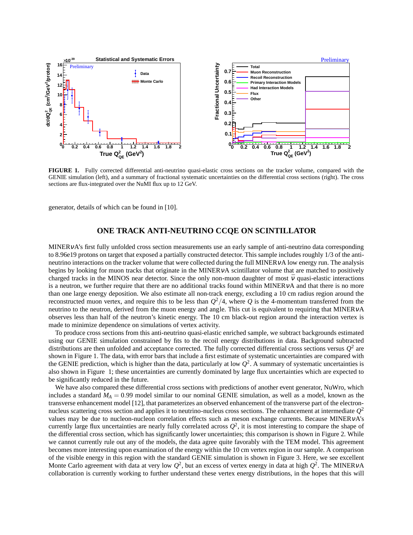

**FIGURE 1.** Fully corrected differential anti-neutrino quasi-elastic cross sections on the tracker volume, compared with the GENIE simulation (left), and a summary of fractional systematic uncertainties on the differential cross sections (right). The cross sections are flux-integrated over the NuMI flux up to 12 GeV.

generator, details of which can be found in [10].

### **ONE TRACK ANTI-NEUTRINO CCQE ON SCINTILLATOR**

MINERνA's first fully unfolded cross section measurements use an early sample of anti-neutrino data corresponding to 8.96e19 protons on target that exposed a partially constructed detector. This sample includes roughly 1/3 of the antineutrino interactions on the tracker volume that were collected during the full MINERνA low energy run. The analysis begins by looking for muon tracks that originate in the MINERVA scintillator volume that are matched to positively charged tracks in the MINOS near detector. Since the only non-muon daughter of most  $\bar{v}$  quasi-elastic interactions is a neutron, we further require that there are no additional tracks found within MINERVA and that there is no more than one large energy deposition. We also estimate all non-track energy, excluding a 10 cm radius region around the reconstructed muon vertex, and require this to be less than *Q* <sup>2</sup>/4, where *Q* is the 4-momentum transferred from the neutrino to the neutron, derived from the muon energy and angle. This cut is equivalent to requiring that MINERVA observes less than half of the neutron's kinetic energy. The 10 cm black-out region around the interaction vertex is made to minimize dependence on simulations of vertex activity.

To produce cross sections from this anti-neutrino quasi-elastic enriched sample, we subtract backgrounds estimated using our GENIE simulation constrained by fits to the recoil energy distributions in data. Background subtracted distributions are then unfolded and acceptance corrected. The fully corrected differential cross sections versus  $Q^2$  are shown in Figure 1. The data, with error bars that include a first estimate of systematic uncertainties are compared with the GENIE prediction, which is higher than the data, particularly at low  $Q^2$ . A summary of systematic uncertainties is also shown in Figure 1; these uncertainties are currently dominated by large flux uncertainties which are expected to be significantly reduced in the future.

We have also compared these differential cross sections with predictions of another event generator, NuWro, which includes a standard  $M_A = 0.99$  model similar to our nominal GENIE simulation, as well as a model, known as the transverse enhancement model [12], that parameterizes an observed enhancement of the transverse part of the electronnucleus scattering cross section and applies it to neutrino-nucleus cross sections. The enhancement at intermediate *Q* 2 values may be due to nucleon-nucleon correlation effects such as meson exchange currents. Because MINERνA's currently large flux uncertainties are nearly fully correlated across  $Q^2$ , it is most interesting to compare the shape of the differential cross section, which has significantly lower uncertainties; this comparison is shown in Figure 2. While we cannot currently rule out any of the models, the data agree quite favorably with the TEM model. This agreement becomes more interesting upon examination of the energy within the 10 cm vertex region in our sample. A comparison of the visible energy in this region with the standard GENIE simulation is shown in Figure 3. Here, we see excellent Monte Carlo agreement with data at very low  $Q^2$ , but an excess of vertex energy in data at high  $Q^2$ . The MINERvA collaboration is currently working to further understand these vertex energy distributions, in the hopes that this will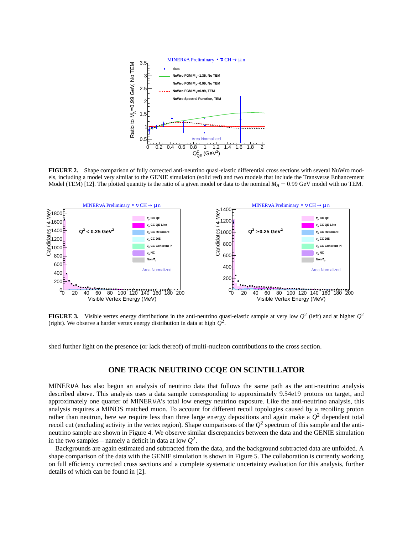

**FIGURE 2.** Shape comparison of fully corrected anti-neutrino quasi-elastic differential cross sections with several NuWro models, including a model very similar to the GENIE simulation (solid red) and two models that include the Transverse Enhancement Model (TEM) [12]. The plotted quantity is the ratio of a given model or data to the nominal  $M_A = 0.99$  GeV model with no TEM.



**FIGURE 3.** Visible vertex energy distributions in the anti-neutrino quasi-elastic sample at very low  $Q^2$  (left) and at higher  $Q^2$ (right). We observe a harder vertex energy distribution in data at high  $Q^2$ .

shed further light on the presence (or lack thereof) of multi-nucleon contributions to the cross section.

### **ONE TRACK NEUTRINO CCQE ON SCINTILLATOR**

MINERνA has also begun an analysis of neutrino data that follows the same path as the anti-neutrino analysis described above. This analysis uses a data sample corresponding to approximately 9.54e19 protons on target, and approximately one quarter of MINERνA's total low energy neutrino exposure. Like the anti-neutrino analysis, this analysis requires a MINOS matched muon. To account for different recoil topologies caused by a recoiling proton rather than neutron, here we require less than three large energy depositions and again make a  $Q^2$  dependent total recoil cut (excluding activity in the vertex region). Shape comparisons of the  $Q^2$  spectrum of this sample and the antineutrino sample are shown in Figure 4. We observe similar discrepancies between the data and the GENIE simulation in the two samples – namely a deficit in data at low  $Q^2$ .

Backgrounds are again estimated and subtracted from the data, and the background subtracted data are unfolded. A shape comparison of the data with the GENIE simulation is shown in Figure 5. The collaboration is currently working on full efficiency corrected cross sections and a complete systematic uncertainty evaluation for this analysis, further details of which can be found in [2].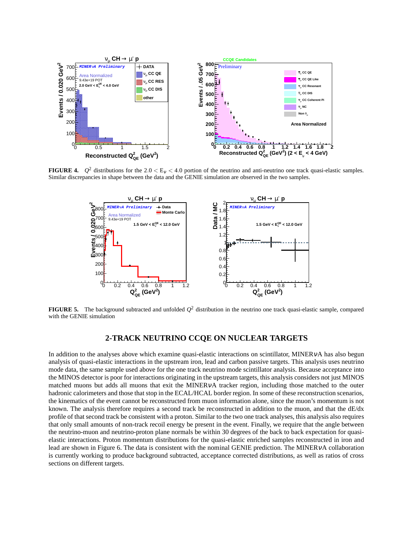

**FIGURE 4.**  $Q^2$  distributions for the 2.0 <  $E_V$  < 4.0 portion of the neutrino and anti-neutrino one track quasi-elastic samples. Similar discrepancies in shape between the data and the GENIE simulation are observed in the two samples.



**FIGURE 5.** The background subtracted and unfolded *Q* <sup>2</sup> distribution in the neutrino one track quasi-elastic sample, compared with the GENIE simulation

## **2-TRACK NEUTRINO CCQE ON NUCLEAR TARGETS**

In addition to the analyses above which examine quasi-elastic interactions on scintillator, MINERVA has also begun analysis of quasi-elastic interactions in the upstream iron, lead and carbon passive targets. This analysis uses neutrino mode data, the same sample used above for the one track neutrino mode scintillator analysis. Because acceptance into the MINOS detector is poor for interactions originating in the upstream targets, this analysis considers not just MINOS matched muons but adds all muons that exit the MINERνA tracker region, including those matched to the outer hadronic calorimeters and those that stop in the ECAL/HCAL border region. In some of these reconstruction scenarios, the kinematics of the event cannot be reconstructed from muon information alone, since the muon's momentum is not known. The analysis therefore requires a second track be reconstructed in addition to the muon, and that the dE/dx profile of that second track be consistent with a proton. Similar to the two one track analyses, this analysis also requires that only small amounts of non-track recoil energy be present in the event. Finally, we require that the angle between the neutrino-muon and neutrino-proton plane normals be within 30 degrees of the back to back expectation for quasielastic interactions. Proton momentum distributions for the quasi-elastic enriched samples reconstructed in iron and lead are shown in Figure 6. The data is consistent with the nominal GENIE prediction. The MINERνA collaboration is currently working to produce background subtracted, acceptance corrected distributions, as well as ratios of cross sections on different targets.